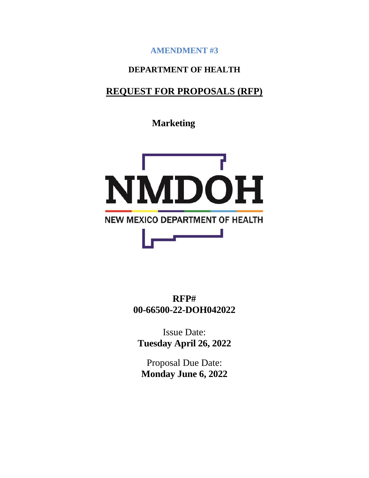**AMENDMENT #3**

## **DEPARTMENT OF HEALTH**

## **REQUEST FOR PROPOSALS (RFP)**

**Marketing**



**RFP# 00-66500-22-DOH042022**

Issue Date: **Tuesday April 26, 2022**

Proposal Due Date: **Monday June 6, 2022**